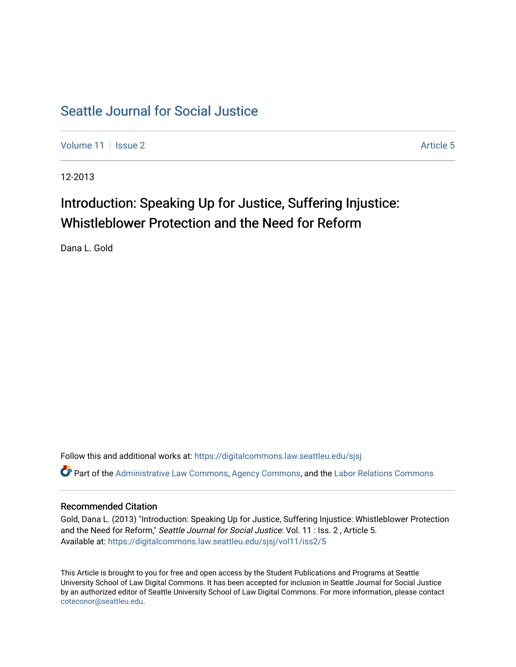# [Seattle Journal for Social Justice](https://digitalcommons.law.seattleu.edu/sjsj)

[Volume 11](https://digitalcommons.law.seattleu.edu/sjsj/vol11) | [Issue 2](https://digitalcommons.law.seattleu.edu/sjsj/vol11/iss2) Article 5

12-2013

# Introduction: Speaking Up for Justice, Suffering Injustice: Whistleblower Protection and the Need for Reform

Dana L. Gold

Follow this and additional works at: [https://digitalcommons.law.seattleu.edu/sjsj](https://digitalcommons.law.seattleu.edu/sjsj?utm_source=digitalcommons.law.seattleu.edu%2Fsjsj%2Fvol11%2Fiss2%2F5&utm_medium=PDF&utm_campaign=PDFCoverPages) Part of the [Administrative Law Commons,](http://network.bepress.com/hgg/discipline/579?utm_source=digitalcommons.law.seattleu.edu%2Fsjsj%2Fvol11%2Fiss2%2F5&utm_medium=PDF&utm_campaign=PDFCoverPages) [Agency Commons,](http://network.bepress.com/hgg/discipline/829?utm_source=digitalcommons.law.seattleu.edu%2Fsjsj%2Fvol11%2Fiss2%2F5&utm_medium=PDF&utm_campaign=PDFCoverPages) and the [Labor Relations Commons](http://network.bepress.com/hgg/discipline/635?utm_source=digitalcommons.law.seattleu.edu%2Fsjsj%2Fvol11%2Fiss2%2F5&utm_medium=PDF&utm_campaign=PDFCoverPages) 

## Recommended Citation

Gold, Dana L. (2013) "Introduction: Speaking Up for Justice, Suffering Injustice: Whistleblower Protection and the Need for Reform," Seattle Journal for Social Justice: Vol. 11 : Iss. 2, Article 5. Available at: [https://digitalcommons.law.seattleu.edu/sjsj/vol11/iss2/5](https://digitalcommons.law.seattleu.edu/sjsj/vol11/iss2/5?utm_source=digitalcommons.law.seattleu.edu%2Fsjsj%2Fvol11%2Fiss2%2F5&utm_medium=PDF&utm_campaign=PDFCoverPages)

This Article is brought to you for free and open access by the Student Publications and Programs at Seattle University School of Law Digital Commons. It has been accepted for inclusion in Seattle Journal for Social Justice by an authorized editor of Seattle University School of Law Digital Commons. For more information, please contact [coteconor@seattleu.edu.](mailto:coteconor@seattleu.edu)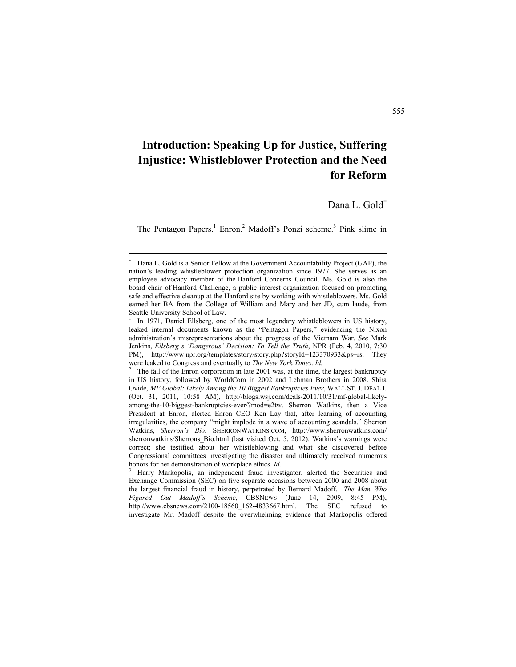## **Introduction: Speaking Up for Justice, Suffering Injustice: Whistleblower Protection and the Need for Reform**

### Dana L. Gold

The Pentagon Papers.<sup>1</sup> Enron.<sup>2</sup> Madoff's Ponzi scheme.<sup>3</sup> Pink slime in

<sup>×</sup>  Dana L. Gold is a Senior Fellow at the Government Accountability Project (GAP), the nation's leading whistleblower protection organization since 1977. She serves as an employee advocacy member of the Hanford Concerns Council. Ms. Gold is also the board chair of Hanford Challenge, a public interest organization focused on promoting safe and effective cleanup at the Hanford site by working with whistleblowers. Ms. Gold earned her BA from the College of William and Mary and her JD, cum laude, from Seattle University School of Law.

<sup>1</sup> In 1971, Daniel Ellsberg, one of the most legendary whistleblowers in US history, leaked internal documents known as the "Pentagon Papers," evidencing the Nixon administration's misrepresentations about the progress of the Vietnam War. *See* Mark Jenkins, *Ellsberg's 'Dangerous' Decision: To Tell the Truth*, NPR (Feb. 4, 2010, 7:30 PM), http://www.npr.org/templates/story/story.php?storyId=123370933&ps=rs. They were leaked to Congress and eventually to *The New York Times. Id.*<br><sup>2</sup> The fell of the Fi

The fall of the Enron corporation in late 2001 was, at the time, the largest bankruptcy in US history, followed by WorldCom in 2002 and Lehman Brothers in 2008. Shira Ovide, *MF Global: Likely Among the 10 Biggest Bankruptcies Ever*, WALL ST. J. DEAL J. (Oct. 31, 2011, 10:58 AM), http://blogs.wsj.com/deals/2011/10/31/mf-global-likelyamong-the-10-biggest-bankruptcies-ever/?mod=e2tw. Sherron Watkins, then a Vice President at Enron, alerted Enron CEO Ken Lay that, after learning of accounting irregularities, the company "might implode in a wave of accounting scandals." Sherron Watkins, *Sherron's Bio*, SHERRONWATKINS.COM, http://www.sherronwatkins.com/ sherronwatkins/Sherrons\_Bio.html (last visited Oct. 5, 2012). Watkins's warnings were correct; she testified about her whistleblowing and what she discovered before Congressional committees investigating the disaster and ultimately received numerous honors for her demonstration of workplace ethics. *Id.* <sup>3</sup>

Harry Markopolis, an independent fraud investigator, alerted the Securities and Exchange Commission (SEC) on five separate occasions between 2000 and 2008 about the largest financial fraud in history, perpetrated by Bernard Madoff. *The Man Who Figured Out Madoff's Scheme*, CBSNEWS (June 14, 2009, 8:45 PM), http://www.cbsnews.com/2100-18560\_162-4833667.html. The SEC refused to investigate Mr. Madoff despite the overwhelming evidence that Markopolis offered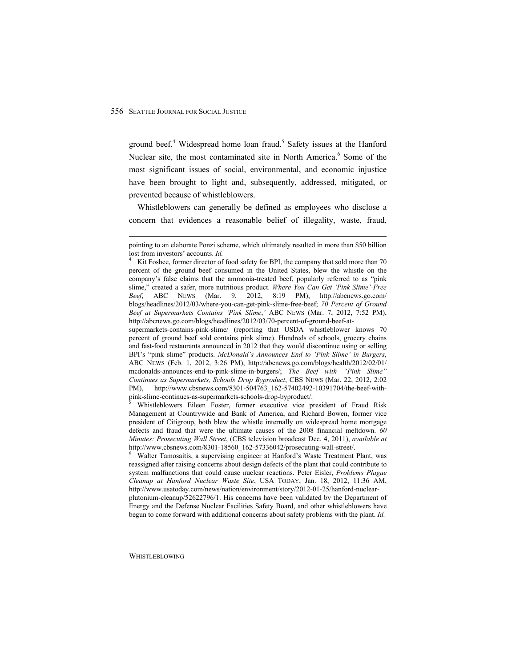ground beef.<sup>4</sup> Widespread home loan fraud.<sup>5</sup> Safety issues at the Hanford Nuclear site, the most contaminated site in North America.<sup>6</sup> Some of the most significant issues of social, environmental, and economic injustice have been brought to light and, subsequently, addressed, mitigated, or prevented because of whistleblowers.

Whistleblowers can generally be defined as employees who disclose a concern that evidences a reasonable belief of illegality, waste, fraud,

supermarkets-contains-pink-slime/ (reporting that USDA whistleblower knows 70 percent of ground beef sold contains pink slime). Hundreds of schools, grocery chains and fast-food restaurants announced in 2012 that they would discontinue using or selling BPI's "pink slime" products. *McDonald's Announces End to 'Pink Slime' in Burgers*, ABC NEWS (Feb. 1, 2012, 3:26 PM), http://abcnews.go.com/blogs/health/2012/02/01/ mcdonalds-announces-end-to-pink-slime-in-burgers/; *The Beef with "Pink Slime" Continues as Supermarkets, Schools Drop Byproduct*, CBS NEWS (Mar. 22, 2012, 2:02 PM), http://www.cbsnews.com/8301-504763\_162-57402492-10391704/the-beef-withpink-slime-continues-as-supermarkets-schools-drop-byproduct/.<br>
<sup>5</sup> Whietleblayers, Eilean Easter, fermer avecutive vice m

 Whistleblowers Eileen Foster, former executive vice president of Fraud Risk Management at Countrywide and Bank of America, and Richard Bowen, former vice president of Citigroup, both blew the whistle internally on widespread home mortgage defects and fraud that were the ultimate causes of the 2008 financial meltdown. *60 Minutes: Prosecuting Wall Street*, (CBS television broadcast Dec. 4, 2011), *available at* http://www.cbsnews.com/8301-18560\_162-57336042/prosecuting-wall-street/.

 Walter Tamosaitis, a supervising engineer at Hanford's Waste Treatment Plant, was reassigned after raising concerns about design defects of the plant that could contribute to system malfunctions that could cause nuclear reactions. Peter Eisler, *Problems Plague Cleanup at Hanford Nuclear Waste Site*, USA TODAY, Jan. 18, 2012, 11:36 AM, http://www.usatoday.com/news/nation/environment/story/2012-01-25/hanford-nuclear-

plutonium-cleanup/52622796/1. His concerns have been validated by the Department of Energy and the Defense Nuclear Facilities Safety Board, and other whistleblowers have begun to come forward with additional concerns about safety problems with the plant. *Id.*

 pointing to an elaborate Ponzi scheme, which ultimately resulted in more than \$50 billion lost from investors' accounts. *Id.* 

Kit Foshee, former director of food safety for BPI, the company that sold more than 70 percent of the ground beef consumed in the United States, blew the whistle on the company's false claims that the ammonia-treated beef, popularly referred to as "pink slime," created a safer, more nutritious product. *Where You Can Get 'Pink Slime'-Free Beef*, ABC NEWS (Mar. 9, 2012, 8:19 PM), http://abcnews.go.com/ blogs/headlines/2012/03/where-you-can-get-pink-slime-free-beef; *70 Percent of Ground Beef at Supermarkets Contains 'Pink Slime*,*'* ABC NEWS (Mar. 7, 2012, 7:52 PM), http://abcnews.go.com/blogs/headlines/2012/03/70-percent-of-ground-beef-at-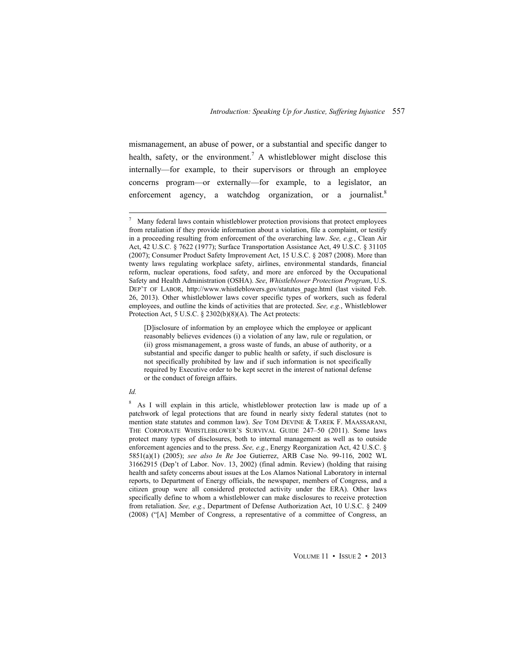mismanagement, an abuse of power, or a substantial and specific danger to health, safety, or the environment.<sup>7</sup> A whistleblower might disclose this internally—for example, to their supervisors or through an employee concerns program—or externally—for example, to a legislator, an enforcement agency, a watchdog organization, or a journalist.<sup>8</sup>

 <sup>7</sup> Many federal laws contain whistleblower protection provisions that protect employees from retaliation if they provide information about a violation, file a complaint, or testify in a proceeding resulting from enforcement of the overarching law. *See, e.g.*, Clean Air Act, 42 U.S.C. § 7622 (1977); Surface Transportation Assistance Act, 49 U.S.C. § 31105 (2007); Consumer Product Safety Improvement Act, 15 U.S.C. § 2087 (2008). More than twenty laws regulating workplace safety, airlines, environmental standards, financial reform, nuclear operations, food safety, and more are enforced by the Occupational Safety and Health Administration (OSHA). *See*, *Whistleblower Protection Program*, U.S. DEP'T OF LABOR, http://www.whistleblowers.gov/statutes\_page.html (last visited Feb. 26, 2013). Other whistleblower laws cover specific types of workers, such as federal employees, and outline the kinds of activities that are protected. *See, e.g.*, Whistleblower Protection Act, 5 U.S.C. § 2302(b)(8)(A). The Act protects:

<sup>[</sup>D]isclosure of information by an employee which the employee or applicant reasonably believes evidences (i) a violation of any law, rule or regulation, or (ii) gross mismanagement, a gross waste of funds, an abuse of authority, or a substantial and specific danger to public health or safety, if such disclosure is not specifically prohibited by law and if such information is not specifically required by Executive order to be kept secret in the interest of national defense or the conduct of foreign affairs.

*Id.* 

<sup>8</sup> As I will explain in this article, whistleblower protection law is made up of a patchwork of legal protections that are found in nearly sixty federal statutes (not to mention state statutes and common law). *See* TOM DEVINE & TAREK F. MAASSARANI, THE CORPORATE WHISTLEBLOWER'S SURVIVAL GUIDE 247–50 (2011). Some laws protect many types of disclosures, both to internal management as well as to outside enforcement agencies and to the press. *See, e.g.*, Energy Reorganization Act, 42 U.S.C. § 5851(a)(1) (2005); *see also In Re* Joe Gutierrez, ARB Case No. 99-116, 2002 WL 31662915 (Dep't of Labor. Nov. 13, 2002) (final admin. Review) (holding that raising health and safety concerns about issues at the Los Alamos National Laboratory in internal reports, to Department of Energy officials, the newspaper, members of Congress, and a citizen group were all considered protected activity under the ERA). Other laws specifically define to whom a whistleblower can make disclosures to receive protection from retaliation. *See, e.g.*, Department of Defense Authorization Act, 10 U.S.C. § 2409 (2008) ("[A] Member of Congress, a representative of a committee of Congress, an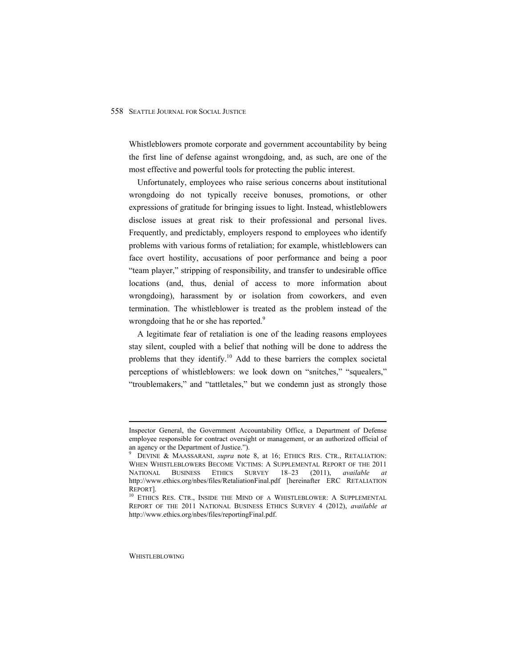Whistleblowers promote corporate and government accountability by being the first line of defense against wrongdoing, and, as such, are one of the most effective and powerful tools for protecting the public interest.

Unfortunately, employees who raise serious concerns about institutional wrongdoing do not typically receive bonuses, promotions, or other expressions of gratitude for bringing issues to light. Instead, whistleblowers disclose issues at great risk to their professional and personal lives. Frequently, and predictably, employers respond to employees who identify problems with various forms of retaliation; for example, whistleblowers can face overt hostility, accusations of poor performance and being a poor "team player," stripping of responsibility, and transfer to undesirable office locations (and, thus, denial of access to more information about wrongdoing), harassment by or isolation from coworkers, and even termination. The whistleblower is treated as the problem instead of the wrongdoing that he or she has reported.<sup>9</sup>

A legitimate fear of retaliation is one of the leading reasons employees stay silent, coupled with a belief that nothing will be done to address the problems that they identify.<sup>10</sup> Add to these barriers the complex societal perceptions of whistleblowers: we look down on "snitches," "squealers," "troublemakers," and "tattletales," but we condemn just as strongly those

Inspector General, the Government Accountability Office, a Department of Defense employee responsible for contract oversight or management, or an authorized official of an agency or the Department of Justice.").

<sup>9</sup> DEVINE & MAASSARANI, *supra* note 8, at 16; ETHICS RES. CTR., RETALIATION: WHEN WHISTLEBLOWERS BECOME VICTIMS: A SUPPLEMENTAL REPORT OF THE 2011 NATIONAL BUSINESS ETHICS SURVEY 18–23 (2011), *available at*  http://www.ethics.org/nbes/files/RetaliationFinal.pdf [hereinafter ERC RETALIATION REPORT]. 10 ETHICS RES. CTR., INSIDE THE MIND OF A WHISTLEBLOWER: A SUPPLEMENTAL

REPORT OF THE 2011 NATIONAL BUSINESS ETHICS SURVEY 4 (2012), *available at*  http://www.ethics.org/nbes/files/reportingFinal.pdf.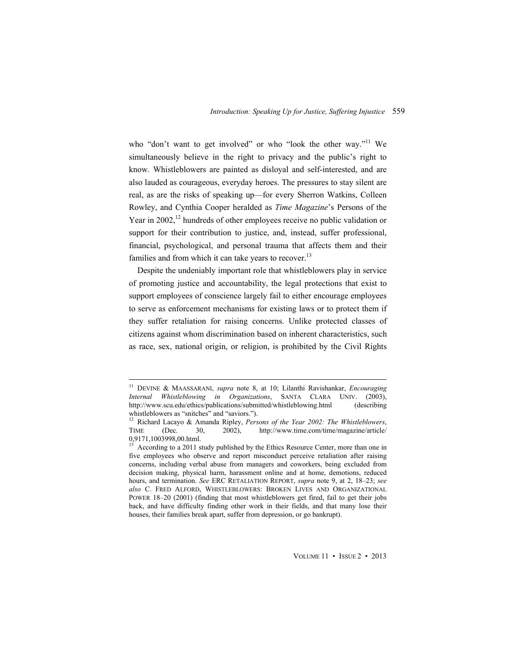who "don't want to get involved" or who "look the other way."<sup>11</sup> We simultaneously believe in the right to privacy and the public's right to know. Whistleblowers are painted as disloyal and self-interested, and are also lauded as courageous, everyday heroes. The pressures to stay silent are real, as are the risks of speaking up—for every Sherron Watkins, Colleen Rowley, and Cynthia Cooper heralded as *Time Magazine*'s Persons of the Year in 2002,<sup>12</sup> hundreds of other employees receive no public validation or support for their contribution to justice, and, instead, suffer professional, financial, psychological, and personal trauma that affects them and their families and from which it can take years to recover.<sup>13</sup>

Despite the undeniably important role that whistleblowers play in service of promoting justice and accountability, the legal protections that exist to support employees of conscience largely fail to either encourage employees to serve as enforcement mechanisms for existing laws or to protect them if they suffer retaliation for raising concerns. Unlike protected classes of citizens against whom discrimination based on inherent characteristics, such as race, sex, national origin, or religion, is prohibited by the Civil Rights

 11 DEVINE & MAASSARANI, *supra* note 8, at 10; Lilanthi Ravishankar, *Encouraging Internal Whistleblowing in Organizations*, SANTA CLARA UNIV. (2003), http://www.scu.edu/ethics/publications/submitted/whistleblowing.html (describing whistleblowers as "snitches" and "saviors.").

<sup>&</sup>lt;sup>12</sup> Richard Lacayo & Amanda Ripley, *Persons of the Year 2002: The Whistleblowers*,<br>TIME (Dec. 30, 2002), http://www.time.com/time/magazine/article/ (Dec. 30, 2002), http://www.time.com/time/magazine/article/ 0,9171,1003998,00.html.

<sup>&</sup>lt;sup>13</sup> According to a 2011 study published by the Ethics Resource Center, more than one in five employees who observe and report misconduct perceive retaliation after raising concerns, including verbal abuse from managers and coworkers, being excluded from decision making, physical harm, harassment online and at home, demotions, reduced hours, and termination. *See* ERC RETALIATION REPORT, *supra* note 9, at 2, 18–23; *see also* C. FRED ALFORD, WHISTLEBLOWERS: BROKEN LIVES AND ORGANIZATIONAL POWER 18–20 (2001) (finding that most whistleblowers get fired, fail to get their jobs back, and have difficulty finding other work in their fields, and that many lose their houses, their families break apart, suffer from depression, or go bankrupt).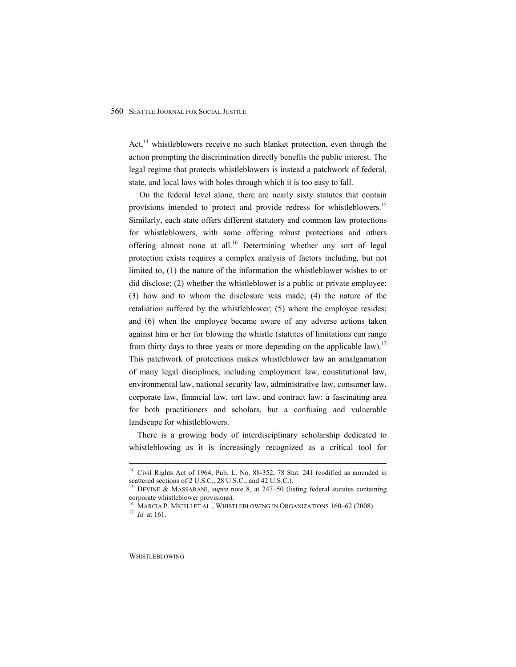Act, $^{14}$  whistleblowers receive no such blanket protection, even though the action prompting the discrimination directly benefits the public interest. The legal regime that protects whistleblowers is instead a patchwork of federal, state, and local laws with holes through which it is too easy to fall.

 On the federal level alone, there are nearly sixty statutes that contain provisions intended to protect and provide redress for whistleblowers.<sup>15</sup> Similarly, each state offers different statutory and common law protections for whistleblowers, with some offering robust protections and others offering almost none at all.<sup>16</sup> Determining whether any sort of legal protection exists requires a complex analysis of factors including, but not limited to, (1) the nature of the information the whistleblower wishes to or did disclose; (2) whether the whistleblower is a public or private employee; (3) how and to whom the disclosure was made; (4) the nature of the retaliation suffered by the whistleblower; (5) where the employee resides; and (6) when the employee became aware of any adverse actions taken against him or her for blowing the whistle (statutes of limitations can range from thirty days to three years or more depending on the applicable law).<sup>17</sup> This patchwork of protections makes whistleblower law an amalgamation of many legal disciplines, including employment law, constitutional law, environmental law, national security law, administrative law, consumer law, corporate law, financial law, tort law, and contract law: a fascinating area for both practitioners and scholars, but a confusing and vulnerable landscape for whistleblowers.

There is a growing body of interdisciplinary scholarship dedicated to whistleblowing as it is increasingly recognized as a critical tool for

<sup>&</sup>lt;sup>14</sup> Civil Rights Act of 1964, Pub. L. No. 88-352, 78 Stat. 241 (codified as amended in scattered sections of 2 U.S.C., 28 U.S.C., and 42 U.S.C.).

DEVINE & MASSARANI, *supra* note 8, at 247–50 (listing federal statutes containing corporate whistleblower provisions).

<sup>&</sup>lt;sup>16</sup> MARCIA P. MICELI ET AL., WHISTLEBLOWING IN ORGANIZATIONS 160–62 (2008). <sup>17</sup> *Id.* at 161.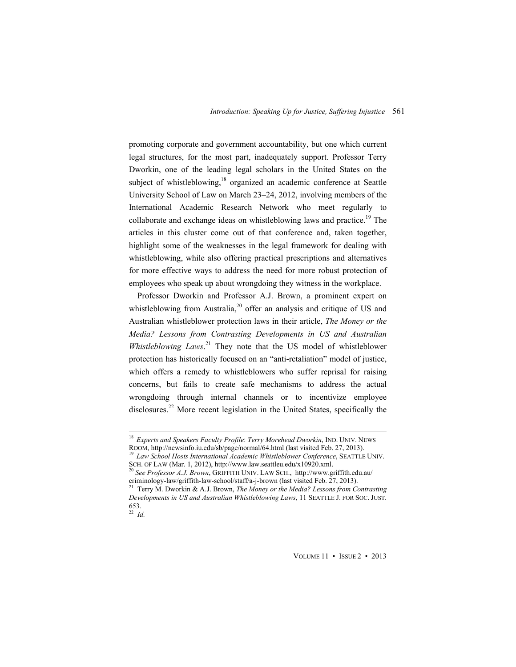promoting corporate and government accountability, but one which current legal structures, for the most part, inadequately support. Professor Terry Dworkin, one of the leading legal scholars in the United States on the subject of whistleblowing,<sup>18</sup> organized an academic conference at Seattle University School of Law on March 23–24, 2012, involving members of the International Academic Research Network who meet regularly to collaborate and exchange ideas on whistleblowing laws and practice.<sup>19</sup> The articles in this cluster come out of that conference and, taken together, highlight some of the weaknesses in the legal framework for dealing with whistleblowing, while also offering practical prescriptions and alternatives for more effective ways to address the need for more robust protection of employees who speak up about wrongdoing they witness in the workplace.

Professor Dworkin and Professor A.J. Brown, a prominent expert on whistleblowing from Australia,<sup>20</sup> offer an analysis and critique of US and Australian whistleblower protection laws in their article, *The Money or the Media? Lessons from Contrasting Developments in US and Australian Whistleblowing Laws*. 21 They note that the US model of whistleblower protection has historically focused on an "anti-retaliation" model of justice, which offers a remedy to whistleblowers who suffer reprisal for raising concerns, but fails to create safe mechanisms to address the actual wrongdoing through internal channels or to incentivize employee disclosures.<sup>22</sup> More recent legislation in the United States, specifically the

<sup>&</sup>lt;sup>18</sup> Experts and Speakers Faculty Profile: *Terry Morehead Dworkin*, IND. UNIV. NEWS ROOM, http://newsinfo.iu.edu/sb/page/normal/64.html (last visited Feb. 27, 2013).

<sup>&</sup>lt;sup>19</sup> Law School Hosts International Academic Whistleblower Conference, SEATTLE UNIV.<br>SCH. OF LAW (Mar. 1, 2012), http://www.law.seattleu.edu/x10920.xml.

<sup>&</sup>lt;sup>20</sup> See Professor A.J. Brown, GRIFFITH UNIV. LAW SCH., http://www.griffith.edu.au/ criminology-law/griffith-law-school/staff/a-j-brown (last visited Feb. 27, 2013). 21 Terry M. Dworkin & A.J. Brown, *The Money or the Media? Lessons from Contrasting* 

*Developments in US and Australian Whistleblowing Laws*, 11 SEATTLE J. FOR SOC. JUST. 653.

<sup>22</sup> *Id.*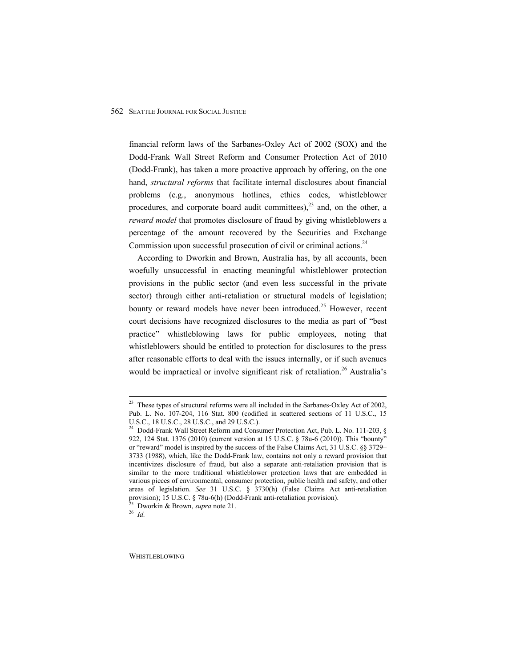financial reform laws of the Sarbanes-Oxley Act of 2002 (SOX) and the Dodd-Frank Wall Street Reform and Consumer Protection Act of 2010 (Dodd-Frank), has taken a more proactive approach by offering, on the one hand, *structural reforms* that facilitate internal disclosures about financial problems (e.g., anonymous hotlines, ethics codes, whistleblower procedures, and corporate board audit committees), $^{23}$  and, on the other, a *reward model* that promotes disclosure of fraud by giving whistleblowers a percentage of the amount recovered by the Securities and Exchange Commission upon successful prosecution of civil or criminal actions.<sup>24</sup>

According to Dworkin and Brown, Australia has, by all accounts, been woefully unsuccessful in enacting meaningful whistleblower protection provisions in the public sector (and even less successful in the private sector) through either anti-retaliation or structural models of legislation; bounty or reward models have never been introduced.<sup>25</sup> However, recent court decisions have recognized disclosures to the media as part of "best practice" whistleblowing laws for public employees, noting that whistleblowers should be entitled to protection for disclosures to the press after reasonable efforts to deal with the issues internally, or if such avenues would be impractical or involve significant risk of retaliation.<sup>26</sup> Australia's

<sup>&</sup>lt;sup>23</sup> These types of structural reforms were all included in the Sarbanes-Oxley Act of 2002, Pub. L. No. 107-204, 116 Stat. 800 (codified in scattered sections of 11 U.S.C., 15 U.S.C., 18 U.S.C., 28 U.S.C., and 29 U.S.C.).

<sup>&</sup>lt;sup>24</sup> Dodd-Frank Wall Street Reform and Consumer Protection Act, Pub. L. No. 111-203, § 922, 124 Stat. 1376 (2010) (current version at 15 U.S.C. § 78u-6 (2010)). This "bounty" or "reward" model is inspired by the success of the False Claims Act, 31 U.S.C. §§ 3729– 3733 (1988), which, like the Dodd-Frank law, contains not only a reward provision that incentivizes disclosure of fraud, but also a separate anti-retaliation provision that is similar to the more traditional whistleblower protection laws that are embedded in various pieces of environmental, consumer protection, public health and safety, and other areas of legislation. *See* 31 U.S.C. § 3730(h) (False Claims Act anti-retaliation provision); 15 U.S.C. § 78u-6(h) (Dodd-Frank anti-retaliation provision).<br><sup>25</sup> Dworkin & Brown, *supra* note 21.<br><sup>26</sup> *Id*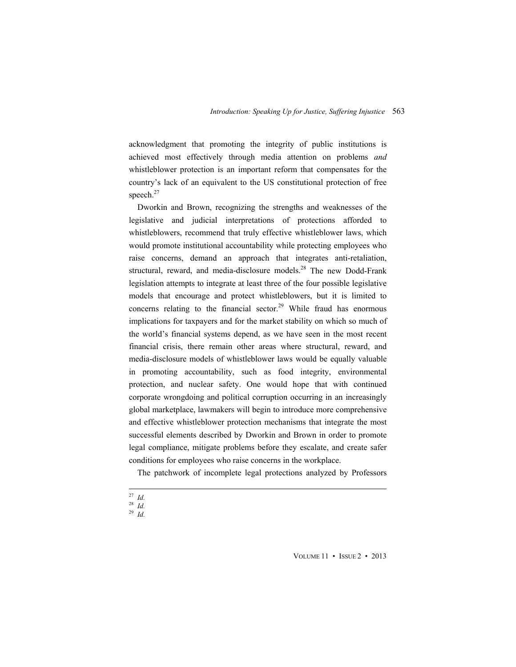acknowledgment that promoting the integrity of public institutions is achieved most effectively through media attention on problems *and* whistleblower protection is an important reform that compensates for the country's lack of an equivalent to the US constitutional protection of free speech.<sup>27</sup>

Dworkin and Brown, recognizing the strengths and weaknesses of the legislative and judicial interpretations of protections afforded to whistleblowers, recommend that truly effective whistleblower laws, which would promote institutional accountability while protecting employees who raise concerns, demand an approach that integrates anti-retaliation, structural, reward, and media-disclosure models.<sup>28</sup> The new Dodd-Frank legislation attempts to integrate at least three of the four possible legislative models that encourage and protect whistleblowers, but it is limited to concerns relating to the financial sector.<sup>29</sup> While fraud has enormous implications for taxpayers and for the market stability on which so much of the world's financial systems depend, as we have seen in the most recent financial crisis, there remain other areas where structural, reward, and media-disclosure models of whistleblower laws would be equally valuable in promoting accountability, such as food integrity, environmental protection, and nuclear safety. One would hope that with continued corporate wrongdoing and political corruption occurring in an increasingly global marketplace, lawmakers will begin to introduce more comprehensive and effective whistleblower protection mechanisms that integrate the most successful elements described by Dworkin and Brown in order to promote legal compliance, mitigate problems before they escalate, and create safer conditions for employees who raise concerns in the workplace.

The patchwork of incomplete legal protections analyzed by Professors

 <sup>27</sup> *Id.*  $\frac{27}{28}$  *Id.* 

<sup>29</sup> *Id.*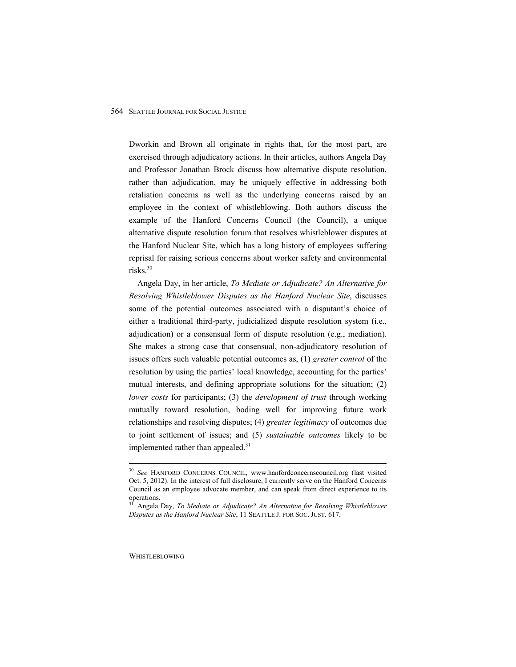Dworkin and Brown all originate in rights that, for the most part, are exercised through adjudicatory actions. In their articles, authors Angela Day and Professor Jonathan Brock discuss how alternative dispute resolution, rather than adjudication, may be uniquely effective in addressing both retaliation concerns as well as the underlying concerns raised by an employee in the context of whistleblowing. Both authors discuss the example of the Hanford Concerns Council (the Council), a unique alternative dispute resolution forum that resolves whistleblower disputes at the Hanford Nuclear Site, which has a long history of employees suffering reprisal for raising serious concerns about worker safety and environmental risks.30

Angela Day, in her article, *To Mediate or Adjudicate? An Alternative for Resolving Whistleblower Disputes as the Hanford Nuclear Site*, discusses some of the potential outcomes associated with a disputant's choice of either a traditional third-party, judicialized dispute resolution system (i.e., adjudication) or a consensual form of dispute resolution (e.g., mediation). She makes a strong case that consensual, non-adjudicatory resolution of issues offers such valuable potential outcomes as, (1) *greater control* of the resolution by using the parties' local knowledge, accounting for the parties' mutual interests, and defining appropriate solutions for the situation; (2) *lower costs* for participants; (3) the *development of trust* through working mutually toward resolution, boding well for improving future work relationships and resolving disputes; (4) *greater legitimacy* of outcomes due to joint settlement of issues; and (5) *sustainable outcomes* likely to be implemented rather than appealed. $31$ 

 <sup>30</sup> *See* HANFORD CONCERNS COUNCIL, www.hanfordconcernscouncil.org (last visited Oct. 5, 2012). In the interest of full disclosure, I currently serve on the Hanford Concerns Council as an employee advocate member, and can speak from direct experience to its operations.

<sup>31</sup> Angela Day, *To Mediate or Adjudicate? An Alternative for Resolving Whistleblower Disputes as the Hanford Nuclear Site*, 11 SEATTLE J. FOR SOC. JUST. 617.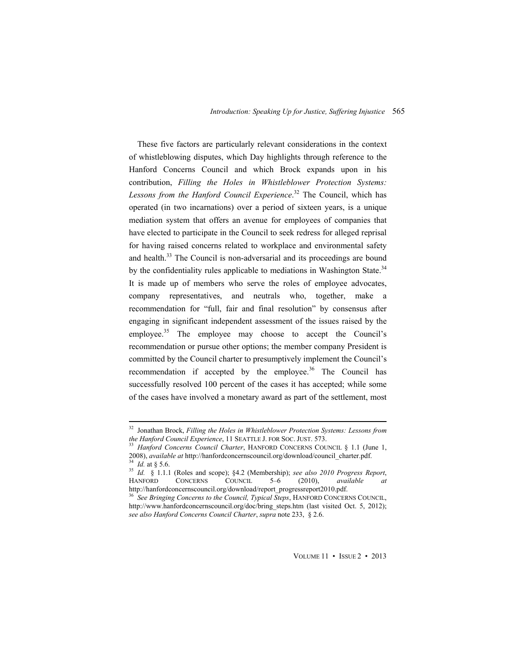These five factors are particularly relevant considerations in the context of whistleblowing disputes, which Day highlights through reference to the Hanford Concerns Council and which Brock expands upon in his contribution, *Filling the Holes in Whistleblower Protection Systems: Lessons from the Hanford Council Experience*. <sup>32</sup> The Council, which has operated (in two incarnations) over a period of sixteen years, is a unique mediation system that offers an avenue for employees of companies that have elected to participate in the Council to seek redress for alleged reprisal for having raised concerns related to workplace and environmental safety and health.<sup>33</sup> The Council is non-adversarial and its proceedings are bound by the confidentiality rules applicable to mediations in Washington State.<sup>34</sup> It is made up of members who serve the roles of employee advocates, company representatives, and neutrals who, together, make a recommendation for "full, fair and final resolution" by consensus after engaging in significant independent assessment of the issues raised by the employee.<sup>35</sup> The employee may choose to accept the Council's recommendation or pursue other options; the member company President is committed by the Council charter to presumptively implement the Council's recommendation if accepted by the employee. $36$  The Council has successfully resolved 100 percent of the cases it has accepted; while some of the cases have involved a monetary award as part of the settlement, most

<sup>&</sup>lt;sup>32</sup> Jonathan Brock, *Filling the Holes in Whistleblower Protection Systems: Lessons from the Hanford Council Experience, 11 SEATTLE J. FOR SOC. JUST. 573.* 

<sup>&</sup>lt;sup>33</sup> Hanford Concerns Council Charter, HANFORD CONCERNS COUNCIL § 1.1 (June 1, 2008), *available at http://hanfordconcernscouncil.org/download/council charter.pdf.* 

<sup>&</sup>lt;sup>34</sup> *Id.* at § 5.6.<br><sup>35</sup> *Id.* § 1.1.1 (Roles and scope); §4.2 (Membership); *see also 2010 Progress Report*,<br>HANFORD CONCERNS COUNCIL 5–6 (2010). *available at* CONCERNS COUNCIL 5–6 (2010), *available at* http://hanfordconcernscouncil.org/download/report\_progressreport2010.pdf.

<sup>36</sup> *See Bringing Concerns to the Council, Typical Steps*, HANFORD CONCERNS COUNCIL, http://www.hanfordconcernscouncil.org/doc/bring\_steps.htm (last visited Oct. 5, 2012); *see also Hanford Concerns Council Charter*, *supra* note 233, § 2.6.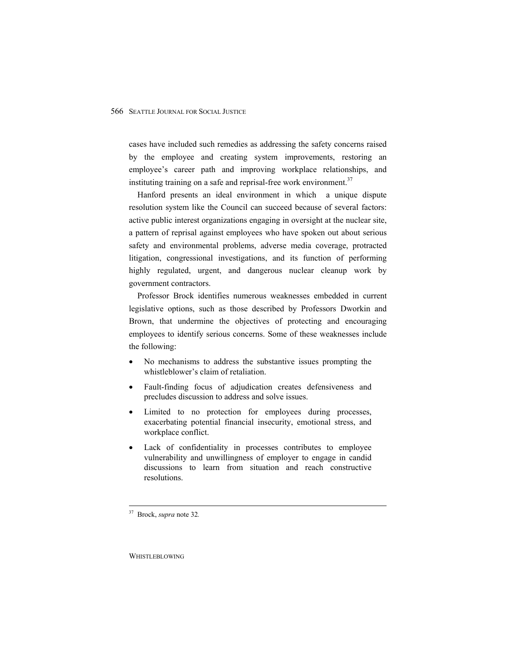cases have included such remedies as addressing the safety concerns raised by the employee and creating system improvements, restoring an employee's career path and improving workplace relationships, and instituting training on a safe and reprisal-free work environment.<sup>37</sup>

Hanford presents an ideal environment in which a unique dispute resolution system like the Council can succeed because of several factors: active public interest organizations engaging in oversight at the nuclear site, a pattern of reprisal against employees who have spoken out about serious safety and environmental problems, adverse media coverage, protracted litigation, congressional investigations, and its function of performing highly regulated, urgent, and dangerous nuclear cleanup work by government contractors.

Professor Brock identifies numerous weaknesses embedded in current legislative options, such as those described by Professors Dworkin and Brown, that undermine the objectives of protecting and encouraging employees to identify serious concerns. Some of these weaknesses include the following:

- No mechanisms to address the substantive issues prompting the whistleblower's claim of retaliation.
- Fault-finding focus of adjudication creates defensiveness and precludes discussion to address and solve issues.
- Limited to no protection for employees during processes, exacerbating potential financial insecurity, emotional stress, and workplace conflict.
- Lack of confidentiality in processes contributes to employee vulnerability and unwillingness of employer to engage in candid discussions to learn from situation and reach constructive resolutions.

 37 Brock, *supra* note 32*.*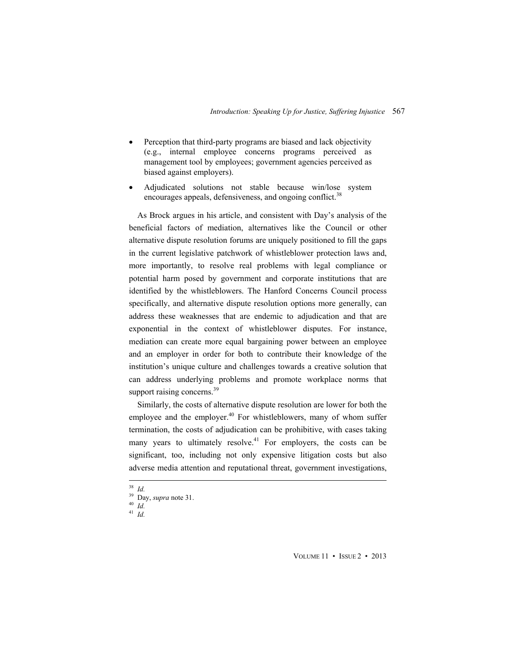- Perception that third-party programs are biased and lack objectivity (e.g., internal employee concerns programs perceived as management tool by employees; government agencies perceived as biased against employers).
- Adjudicated solutions not stable because win/lose system encourages appeals, defensiveness, and ongoing conflict.<sup>38</sup>

As Brock argues in his article, and consistent with Day's analysis of the beneficial factors of mediation, alternatives like the Council or other alternative dispute resolution forums are uniquely positioned to fill the gaps in the current legislative patchwork of whistleblower protection laws and, more importantly, to resolve real problems with legal compliance or potential harm posed by government and corporate institutions that are identified by the whistleblowers. The Hanford Concerns Council process specifically, and alternative dispute resolution options more generally, can address these weaknesses that are endemic to adjudication and that are exponential in the context of whistleblower disputes. For instance, mediation can create more equal bargaining power between an employee and an employer in order for both to contribute their knowledge of the institution's unique culture and challenges towards a creative solution that can address underlying problems and promote workplace norms that support raising concerns.<sup>39</sup>

Similarly, the costs of alternative dispute resolution are lower for both the employee and the employer.<sup>40</sup> For whistleblowers, many of whom suffer termination, the costs of adjudication can be prohibitive, with cases taking many years to ultimately resolve.<sup>41</sup> For employers, the costs can be significant, too, including not only expensive litigation costs but also adverse media attention and reputational threat, government investigations,

<sup>38</sup> *Id.*

<sup>41</sup> *Id.*

<sup>39</sup> Day, *supra* note 31. 40 *Id.*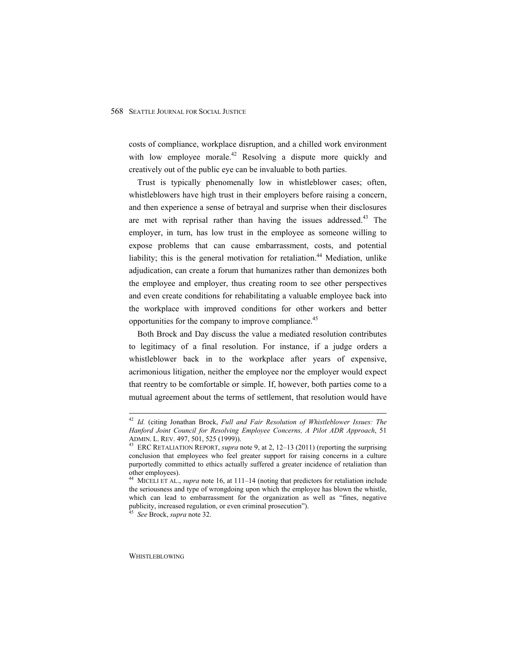costs of compliance, workplace disruption, and a chilled work environment with low employee morale.<sup>42</sup> Resolving a dispute more quickly and creatively out of the public eye can be invaluable to both parties.

Trust is typically phenomenally low in whistleblower cases; often, whistleblowers have high trust in their employers before raising a concern, and then experience a sense of betrayal and surprise when their disclosures are met with reprisal rather than having the issues addressed.<sup>43</sup> The employer, in turn, has low trust in the employee as someone willing to expose problems that can cause embarrassment, costs, and potential liability; this is the general motivation for retaliation.<sup>44</sup> Mediation, unlike adjudication, can create a forum that humanizes rather than demonizes both the employee and employer, thus creating room to see other perspectives and even create conditions for rehabilitating a valuable employee back into the workplace with improved conditions for other workers and better opportunities for the company to improve compliance.<sup>45</sup>

Both Brock and Day discuss the value a mediated resolution contributes to legitimacy of a final resolution. For instance, if a judge orders a whistleblower back in to the workplace after years of expensive, acrimonious litigation, neither the employee nor the employer would expect that reentry to be comfortable or simple. If, however, both parties come to a mutual agreement about the terms of settlement, that resolution would have

 <sup>42</sup> *Id.* (citing Jonathan Brock, *Full and Fair Resolution of Whistleblower Issues: The Hanford Joint Council for Resolving Employee Concerns, A Pilot ADR Approach*, 51 ADMIN. L. REV. 497, 501, 525 (1999)). 43 ERC RETALIATION REPORT, *supra* note 9, at 2, 12–13 (2011) (reporting the surprising

conclusion that employees who feel greater support for raising concerns in a culture purportedly committed to ethics actually suffered a greater incidence of retaliation than other employees).

<sup>44</sup> MICELI ET AL., *supra* note 16, at 111–14 (noting that predictors for retaliation include the seriousness and type of wrongdoing upon which the employee has blown the whistle, which can lead to embarrassment for the organization as well as "fines, negative publicity, increased regulation, or even criminal prosecution").

<sup>45</sup> *See* Brock, *supra* note 32.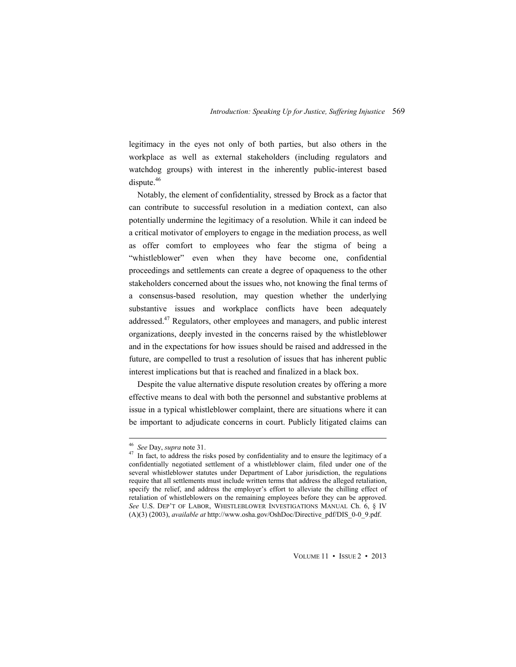legitimacy in the eyes not only of both parties, but also others in the workplace as well as external stakeholders (including regulators and watchdog groups) with interest in the inherently public-interest based dispute. $46$ 

Notably, the element of confidentiality, stressed by Brock as a factor that can contribute to successful resolution in a mediation context, can also potentially undermine the legitimacy of a resolution. While it can indeed be a critical motivator of employers to engage in the mediation process, as well as offer comfort to employees who fear the stigma of being a "whistleblower" even when they have become one, confidential proceedings and settlements can create a degree of opaqueness to the other stakeholders concerned about the issues who, not knowing the final terms of a consensus-based resolution, may question whether the underlying substantive issues and workplace conflicts have been adequately addressed.<sup>47</sup> Regulators, other employees and managers, and public interest organizations, deeply invested in the concerns raised by the whistleblower and in the expectations for how issues should be raised and addressed in the future, are compelled to trust a resolution of issues that has inherent public interest implications but that is reached and finalized in a black box.

Despite the value alternative dispute resolution creates by offering a more effective means to deal with both the personnel and substantive problems at issue in a typical whistleblower complaint, there are situations where it can be important to adjudicate concerns in court. Publicly litigated claims can

<sup>&</sup>lt;sup>46</sup> See Day, *supra* note 31.<br><sup>47</sup> In fact, to address the risks posed by confidentiality and to ensure the legitimacy of a confidentially negotiated settlement of a whistleblower claim, filed under one of the several whistleblower statutes under Department of Labor jurisdiction, the regulations require that all settlements must include written terms that address the alleged retaliation, specify the relief, and address the employer's effort to alleviate the chilling effect of retaliation of whistleblowers on the remaining employees before they can be approved. *See* U.S. DEP'T OF LABOR, WHISTLEBLOWER INVESTIGATIONS MANUAL Ch. 6, § IV (A)(3) (2003), *available at* http://www.osha.gov/OshDoc/Directive\_pdf/DIS\_0-0\_9.pdf.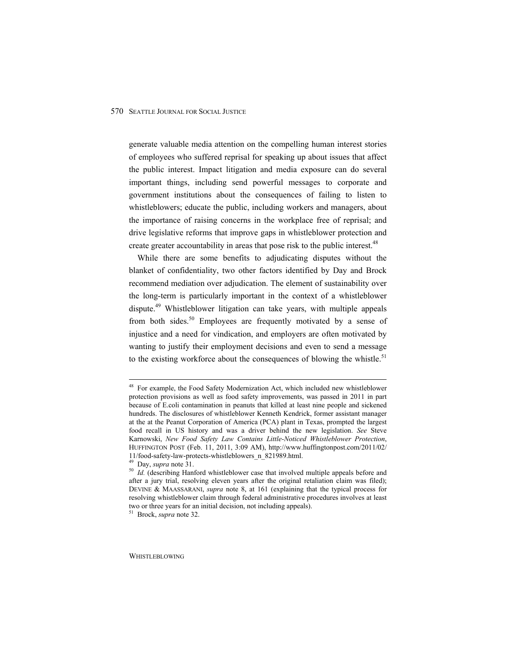generate valuable media attention on the compelling human interest stories of employees who suffered reprisal for speaking up about issues that affect the public interest. Impact litigation and media exposure can do several important things, including send powerful messages to corporate and government institutions about the consequences of failing to listen to whistleblowers; educate the public, including workers and managers, about the importance of raising concerns in the workplace free of reprisal; and drive legislative reforms that improve gaps in whistleblower protection and create greater accountability in areas that pose risk to the public interest.<sup>48</sup>

While there are some benefits to adjudicating disputes without the blanket of confidentiality, two other factors identified by Day and Brock recommend mediation over adjudication. The element of sustainability over the long-term is particularly important in the context of a whistleblower dispute.49 Whistleblower litigation can take years, with multiple appeals from both sides.<sup>50</sup> Employees are frequently motivated by a sense of injustice and a need for vindication, and employers are often motivated by wanting to justify their employment decisions and even to send a message to the existing workforce about the consequences of blowing the whistle.<sup>51</sup>

<sup>&</sup>lt;sup>48</sup> For example, the Food Safety Modernization Act, which included new whistleblower protection provisions as well as food safety improvements, was passed in 2011 in part because of E.coli contamination in peanuts that killed at least nine people and sickened hundreds. The disclosures of whistleblower Kenneth Kendrick, former assistant manager at the at the Peanut Corporation of America (PCA) plant in Texas, prompted the largest food recall in US history and was a driver behind the new legislation. *See* Steve Karnowski, *New Food Safety Law Contains Little-Noticed Whistleblower Protection*, HUFFINGTON POST (Feb. 11, 2011, 3:09 AM), http://www.huffingtonpost.com/2011/02/ 11/food-safety-law-protects-whistleblowers\_n\_821989.html.<br><sup>49</sup> Day, *supra* note 31.

<sup>&</sup>lt;sup>50</sup> Id. (describing Hanford whistleblower case that involved multiple appeals before and after a jury trial, resolving eleven years after the original retaliation claim was filed); DEVINE & MAASSARANI, *supra* note 8, at 161 (explaining that the typical process for resolving whistleblower claim through federal administrative procedures involves at least two or three years for an initial decision, not including appeals). 51 Brock, *supra* note 32.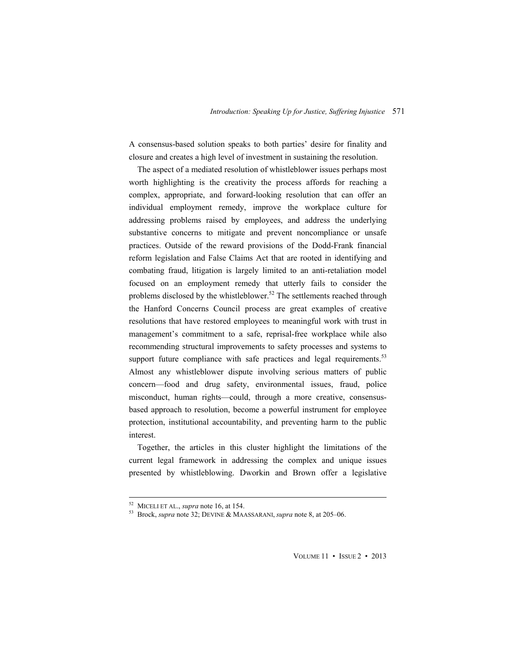A consensus-based solution speaks to both parties' desire for finality and closure and creates a high level of investment in sustaining the resolution.

The aspect of a mediated resolution of whistleblower issues perhaps most worth highlighting is the creativity the process affords for reaching a complex, appropriate, and forward-looking resolution that can offer an individual employment remedy, improve the workplace culture for addressing problems raised by employees, and address the underlying substantive concerns to mitigate and prevent noncompliance or unsafe practices. Outside of the reward provisions of the Dodd-Frank financial reform legislation and False Claims Act that are rooted in identifying and combating fraud, litigation is largely limited to an anti-retaliation model focused on an employment remedy that utterly fails to consider the problems disclosed by the whistleblower.<sup>52</sup> The settlements reached through the Hanford Concerns Council process are great examples of creative resolutions that have restored employees to meaningful work with trust in management's commitment to a safe, reprisal-free workplace while also recommending structural improvements to safety processes and systems to support future compliance with safe practices and legal requirements.<sup>53</sup> Almost any whistleblower dispute involving serious matters of public concern—food and drug safety, environmental issues, fraud, police misconduct, human rights—could, through a more creative, consensusbased approach to resolution, become a powerful instrument for employee protection, institutional accountability, and preventing harm to the public interest.

Together, the articles in this cluster highlight the limitations of the current legal framework in addressing the complex and unique issues presented by whistleblowing. Dworkin and Brown offer a legislative

 52 MICELI ET AL., *supra* note 16, at 154. 53 Brock, *supra* note 32; DEVINE & MAASSARANI, *supra* note 8, at 205–06.